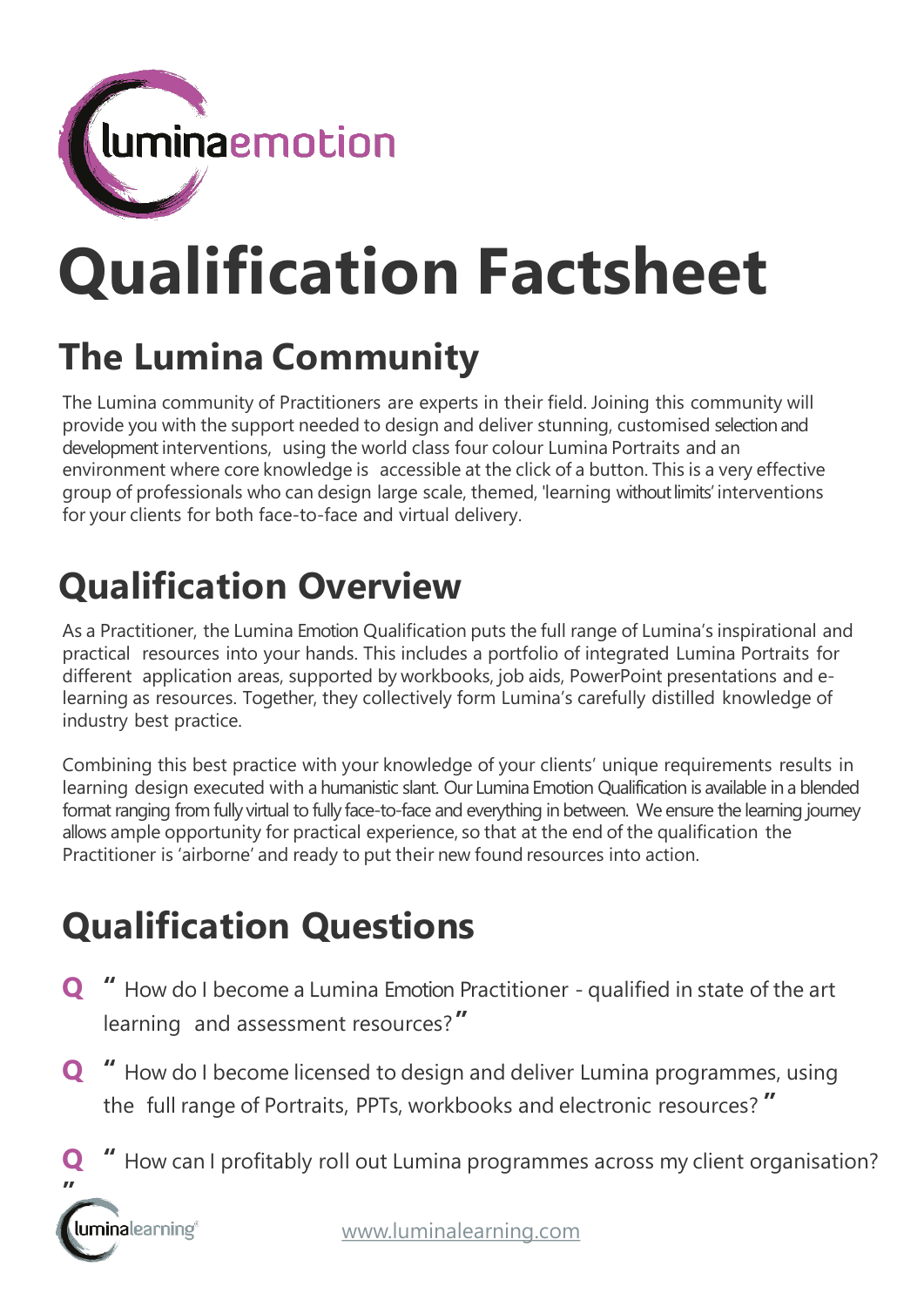

# **Qualification Factsheet**

# **The Lumina Community**

The Lumina community of Practitioners are experts in their field. Joining this community will provide you with the support needed to design and deliver stunning, customised selection and development interventions, using the world class four colour Lumina Portraits and an environment where core knowledge is accessible at the click of a button. This is a very effective group of professionals who can design large scale, themed, 'learning without limits' interventions for your clients for both face-to-face and virtual delivery.

# **Qualification Overview**

As a Practitioner, the Lumina Emotion Qualification puts the full range of Lumina's inspirational and practical resources into your hands. This includes a portfolio of integrated Lumina Portraits for different application areas, supported by workbooks, job aids, PowerPoint presentations and elearning as resources. Together, they collectively form Lumina's carefully distilled knowledge of industry best practice.

Combining this best practice with your knowledge of your clients' unique requirements results in learning design executed with a humanistic slant. Our Lumina Emotion Qualification is available in a blended format ranging from fully virtual to fully face-to-face and everything in between. We ensure the learning journey allows ample opportunity for practical experience, so that at the end of the qualification the Practitioner is 'airborne' and ready to put their new found resources into action.

## **Qualification Questions**

- **Q "** How do I become a Lumina Emotion Practitioner qualified in state of the art learning and assessment resources?**"**
- **Q "** How do I become licensed to design and deliver Lumina programmes, using the full range of Portraits, PPTs, workbooks and electronic resources? **"**
- **Q "** How can I profitably roll out Lumina programmes across my client organisation?

**"**luminalearning®

[www.luminalearning.com](http://www.luminalearning.com/)